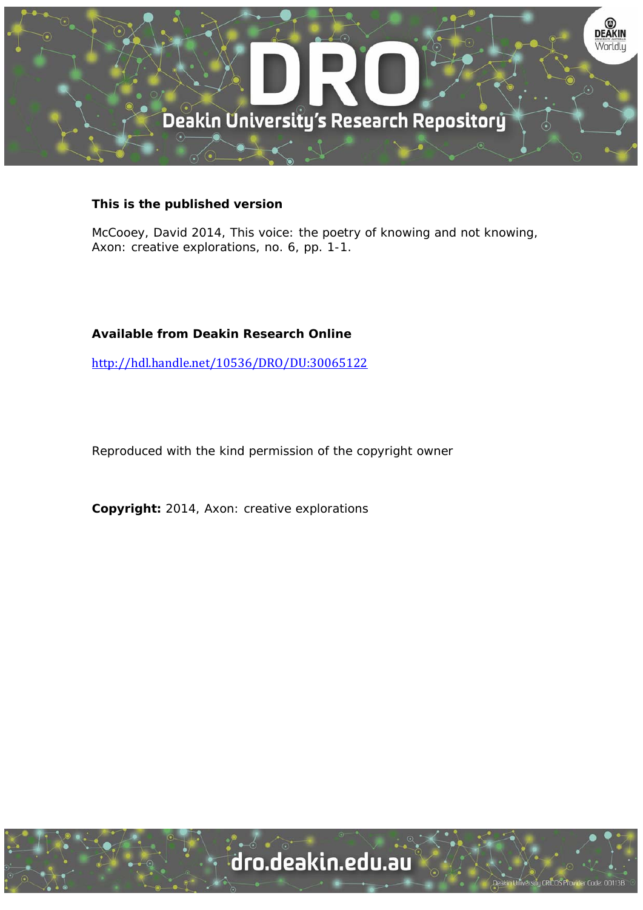

## **This is the published version**

McCooey, David 2014, This voice: the poetry of knowing and not knowing, Axon: creative explorations, no. 6, pp. 1-1.

## **Available from Deakin Research Online**

http://hdl.handle.net/10536/DRO/DU:30065122

Reproduced with the kind permission of the copyright owner

**Copyright:** 2014, Axon: creative explorations

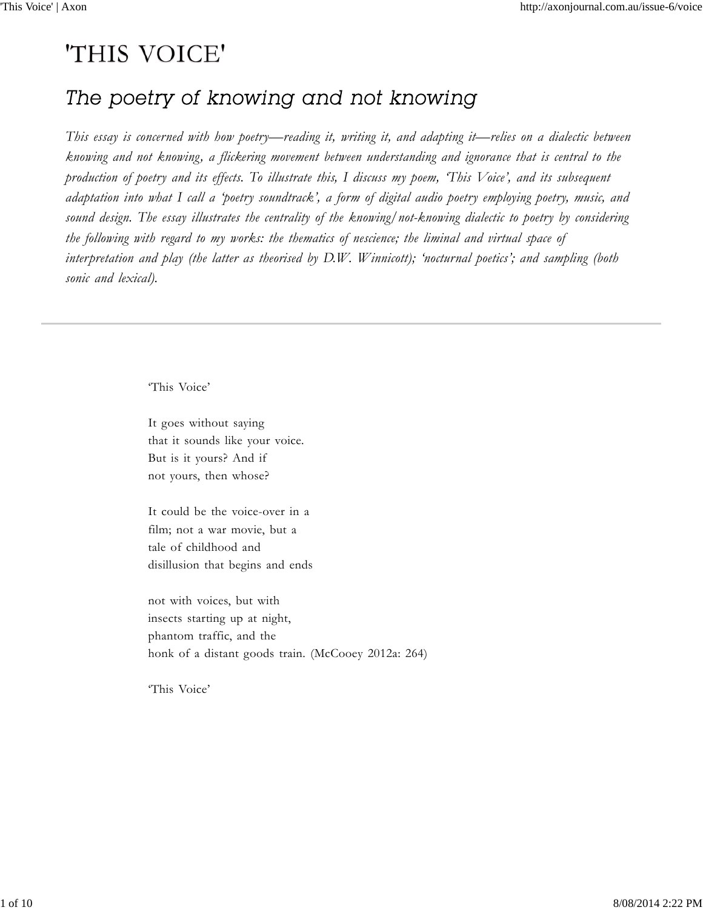# 'THIS VOICE'

## The poetry of knowing and not knowing

*This essay is concerned with how poetry—reading it, writing it, and adapting it—relies on a dialectic between knowing and not knowing, a flickering movement between understanding and ignorance that is central to the production of poetry and its effects. To illustrate this, I discuss my poem, 'This Voice', and its subsequent adaptation into what I call a 'poetry soundtrack', a form of digital audio poetry employing poetry, music, and sound design. The essay illustrates the centrality of the knowing/not-knowing dialectic to poetry by considering the following with regard to my works: the thematics of nescience; the liminal and virtual space of interpretation and play (the latter as theorised by D.W. Winnicott); 'nocturnal poetics'; and sampling (both sonic and lexical).*

'This Voice'

It goes without saying that it sounds like your voice. But is it yours? And if not yours, then whose?

It could be the voice-over in a film; not a war movie, but a tale of childhood and disillusion that begins and ends

not with voices, but with insects starting up at night, phantom traffic, and the honk of a distant goods train. (McCooey 2012a: 264)

'This Voice'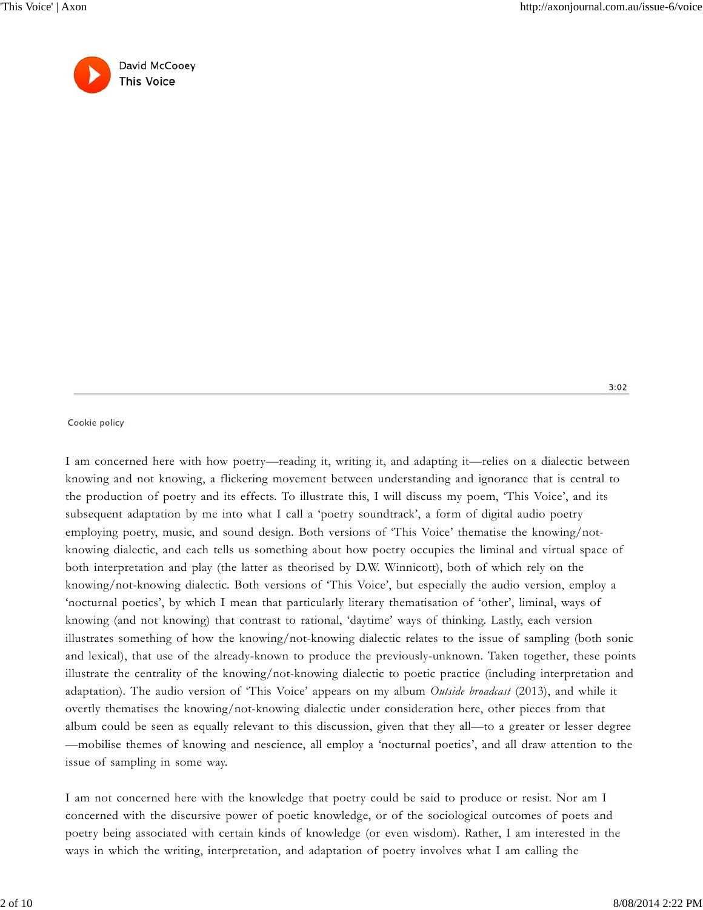$3:02$ 



#### Cookie policy

I am concerned here with how poetry—reading it, writing it, and adapting it—relies on a dialectic between knowing and not knowing, a flickering movement between understanding and ignorance that is central to the production of poetry and its effects. To illustrate this, I will discuss my poem, 'This Voice', and its subsequent adaptation by me into what I call a 'poetry soundtrack', a form of digital audio poetry employing poetry, music, and sound design. Both versions of 'This Voice' thematise the knowing/notknowing dialectic, and each tells us something about how poetry occupies the liminal and virtual space of both interpretation and play (the latter as theorised by D.W. Winnicott), both of which rely on the knowing/not-knowing dialectic. Both versions of 'This Voice', but especially the audio version, employ a 'nocturnal poetics', by which I mean that particularly literary thematisation of 'other', liminal, ways of knowing (and not knowing) that contrast to rational, 'daytime' ways of thinking. Lastly, each version illustrates something of how the knowing/not-knowing dialectic relates to the issue of sampling (both sonic and lexical), that use of the already-known to produce the previously-unknown. Taken together, these points illustrate the centrality of the knowing/not-knowing dialectic to poetic practice (including interpretation and adaptation). The audio version of 'This Voice' appears on my album *Outside broadcast* (2013), and while it overtly thematises the knowing/not-knowing dialectic under consideration here, other pieces from that album could be seen as equally relevant to this discussion, given that they all—to a greater or lesser degree —mobilise themes of knowing and nescience, all employ a 'nocturnal poetics', and all draw attention to the issue of sampling in some way.

I am not concerned here with the knowledge that poetry could be said to produce or resist. Nor am I concerned with the discursive power of poetic knowledge, or of the sociological outcomes of poets and poetry being associated with certain kinds of knowledge (or even wisdom). Rather, I am interested in the ways in which the writing, interpretation, and adaptation of poetry involves what I am calling the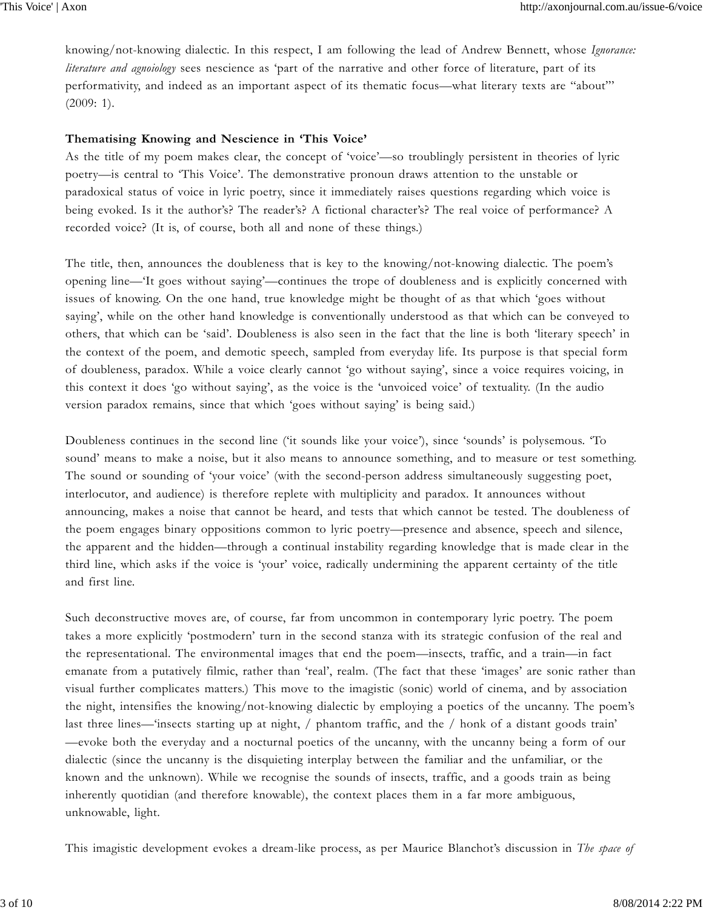knowing/not-knowing dialectic. In this respect, I am following the lead of Andrew Bennett, whose *Ignorance: literature and agnoiology* sees nescience as 'part of the narrative and other force of literature, part of its performativity, and indeed as an important aspect of its thematic focus—what literary texts are "about"' (2009: 1).

#### **Thematising Knowing and Nescience in 'This Voice'**

As the title of my poem makes clear, the concept of 'voice'—so troublingly persistent in theories of lyric poetry—is central to 'This Voice'. The demonstrative pronoun draws attention to the unstable or paradoxical status of voice in lyric poetry, since it immediately raises questions regarding which voice is being evoked. Is it the author's? The reader's? A fictional character's? The real voice of performance? A recorded voice? (It is, of course, both all and none of these things.)

The title, then, announces the doubleness that is key to the knowing/not-knowing dialectic. The poem's opening line—'It goes without saying'—continues the trope of doubleness and is explicitly concerned with issues of knowing. On the one hand, true knowledge might be thought of as that which 'goes without saying', while on the other hand knowledge is conventionally understood as that which can be conveyed to others, that which can be 'said'. Doubleness is also seen in the fact that the line is both 'literary speech' in the context of the poem, and demotic speech, sampled from everyday life. Its purpose is that special form of doubleness, paradox. While a voice clearly cannot 'go without saying', since a voice requires voicing, in this context it does 'go without saying', as the voice is the 'unvoiced voice' of textuality. (In the audio version paradox remains, since that which 'goes without saying' is being said.)

Doubleness continues in the second line ('it sounds like your voice'), since 'sounds' is polysemous. 'To sound' means to make a noise, but it also means to announce something, and to measure or test something. The sound or sounding of 'your voice' (with the second-person address simultaneously suggesting poet, interlocutor, and audience) is therefore replete with multiplicity and paradox. It announces without announcing, makes a noise that cannot be heard, and tests that which cannot be tested. The doubleness of the poem engages binary oppositions common to lyric poetry—presence and absence, speech and silence, the apparent and the hidden—through a continual instability regarding knowledge that is made clear in the third line, which asks if the voice is 'your' voice, radically undermining the apparent certainty of the title and first line.

Such deconstructive moves are, of course, far from uncommon in contemporary lyric poetry. The poem takes a more explicitly 'postmodern' turn in the second stanza with its strategic confusion of the real and the representational. The environmental images that end the poem—insects, traffic, and a train—in fact emanate from a putatively filmic, rather than 'real', realm. (The fact that these 'images' are sonic rather than visual further complicates matters.) This move to the imagistic (sonic) world of cinema, and by association the night, intensifies the knowing/not-knowing dialectic by employing a poetics of the uncanny. The poem's last three lines—'insects starting up at night, / phantom traffic, and the / honk of a distant goods train' —evoke both the everyday and a nocturnal poetics of the uncanny, with the uncanny being a form of our dialectic (since the uncanny is the disquieting interplay between the familiar and the unfamiliar, or the known and the unknown). While we recognise the sounds of insects, traffic, and a goods train as being inherently quotidian (and therefore knowable), the context places them in a far more ambiguous, unknowable, light.

This imagistic development evokes a dream-like process, as per Maurice Blanchot's discussion in *The space of*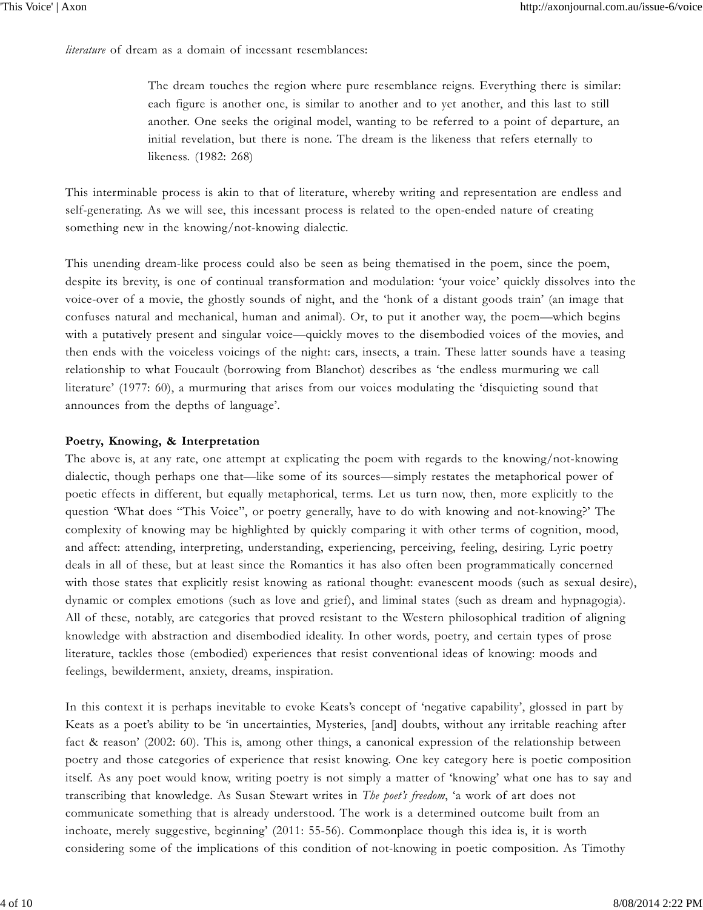*literature* of dream as a domain of incessant resemblances:

The dream touches the region where pure resemblance reigns. Everything there is similar: each figure is another one, is similar to another and to yet another, and this last to still another. One seeks the original model, wanting to be referred to a point of departure, an initial revelation, but there is none. The dream is the likeness that refers eternally to likeness. (1982: 268)

This interminable process is akin to that of literature, whereby writing and representation are endless and self-generating. As we will see, this incessant process is related to the open-ended nature of creating something new in the knowing/not-knowing dialectic.

This unending dream-like process could also be seen as being thematised in the poem, since the poem, despite its brevity, is one of continual transformation and modulation: 'your voice' quickly dissolves into the voice-over of a movie, the ghostly sounds of night, and the 'honk of a distant goods train' (an image that confuses natural and mechanical, human and animal). Or, to put it another way, the poem—which begins with a putatively present and singular voice—quickly moves to the disembodied voices of the movies, and then ends with the voiceless voicings of the night: cars, insects, a train. These latter sounds have a teasing relationship to what Foucault (borrowing from Blanchot) describes as 'the endless murmuring we call literature' (1977: 60), a murmuring that arises from our voices modulating the 'disquieting sound that announces from the depths of language'.

#### **Poetry, Knowing, & Interpretation**

The above is, at any rate, one attempt at explicating the poem with regards to the knowing/not-knowing dialectic, though perhaps one that—like some of its sources—simply restates the metaphorical power of poetic effects in different, but equally metaphorical, terms. Let us turn now, then, more explicitly to the question 'What does "This Voice", or poetry generally, have to do with knowing and not-knowing?' The complexity of knowing may be highlighted by quickly comparing it with other terms of cognition, mood, and affect: attending, interpreting, understanding, experiencing, perceiving, feeling, desiring. Lyric poetry deals in all of these, but at least since the Romantics it has also often been programmatically concerned with those states that explicitly resist knowing as rational thought: evanescent moods (such as sexual desire), dynamic or complex emotions (such as love and grief), and liminal states (such as dream and hypnagogia). All of these, notably, are categories that proved resistant to the Western philosophical tradition of aligning knowledge with abstraction and disembodied ideality. In other words, poetry, and certain types of prose literature, tackles those (embodied) experiences that resist conventional ideas of knowing: moods and feelings, bewilderment, anxiety, dreams, inspiration.

In this context it is perhaps inevitable to evoke Keats's concept of 'negative capability', glossed in part by Keats as a poet's ability to be 'in uncertainties, Mysteries, [and] doubts, without any irritable reaching after fact & reason' (2002: 60). This is, among other things, a canonical expression of the relationship between poetry and those categories of experience that resist knowing. One key category here is poetic composition itself. As any poet would know, writing poetry is not simply a matter of 'knowing' what one has to say and transcribing that knowledge. As Susan Stewart writes in *The poet's freedom*, 'a work of art does not communicate something that is already understood. The work is a determined outcome built from an inchoate, merely suggestive, beginning' (2011: 55-56). Commonplace though this idea is, it is worth considering some of the implications of this condition of not-knowing in poetic composition. As Timothy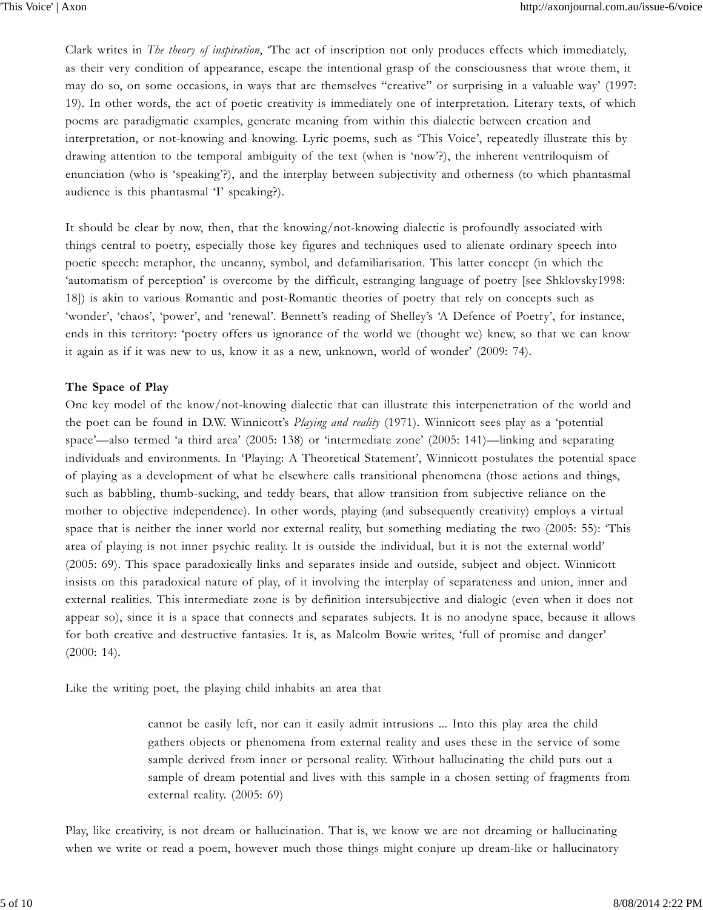Clark writes in *The theory of inspiration*, 'The act of inscription not only produces effects which immediately, as their very condition of appearance, escape the intentional grasp of the consciousness that wrote them, it may do so, on some occasions, in ways that are themselves "creative" or surprising in a valuable way' (1997: 19). In other words, the act of poetic creativity is immediately one of interpretation. Literary texts, of which poems are paradigmatic examples, generate meaning from within this dialectic between creation and interpretation, or not-knowing and knowing. Lyric poems, such as 'This Voice', repeatedly illustrate this by drawing attention to the temporal ambiguity of the text (when is 'now'?), the inherent ventriloquism of enunciation (who is 'speaking'?), and the interplay between subjectivity and otherness (to which phantasmal audience is this phantasmal 'I' speaking?).

It should be clear by now, then, that the knowing/not-knowing dialectic is profoundly associated with things central to poetry, especially those key figures and techniques used to alienate ordinary speech into poetic speech: metaphor, the uncanny, symbol, and defamiliarisation. This latter concept (in which the 'automatism of perception' is overcome by the difficult, estranging language of poetry [see Shklovsky1998: 18]) is akin to various Romantic and post-Romantic theories of poetry that rely on concepts such as 'wonder', 'chaos', 'power', and 'renewal'. Bennett's reading of Shelley's 'A Defence of Poetry', for instance, ends in this territory: 'poetry offers us ignorance of the world we (thought we) knew, so that we can know it again as if it was new to us, know it as a new, unknown, world of wonder' (2009: 74).

#### **The Space of Play**

One key model of the know/not-knowing dialectic that can illustrate this interpenetration of the world and the poet can be found in D.W. Winnicott's *Playing and reality* (1971). Winnicott sees play as a 'potential space'—also termed 'a third area' (2005: 138) or 'intermediate zone' (2005: 141)—linking and separating individuals and environments. In 'Playing: A Theoretical Statement', Winnicott postulates the potential space of playing as a development of what he elsewhere calls transitional phenomena (those actions and things, such as babbling, thumb-sucking, and teddy bears, that allow transition from subjective reliance on the mother to objective independence). In other words, playing (and subsequently creativity) employs a virtual space that is neither the inner world nor external reality, but something mediating the two (2005: 55): 'This area of playing is not inner psychic reality. It is outside the individual, but it is not the external world' (2005: 69). This space paradoxically links and separates inside and outside, subject and object. Winnicott insists on this paradoxical nature of play, of it involving the interplay of separateness and union, inner and external realities. This intermediate zone is by definition intersubjective and dialogic (even when it does not appear so), since it is a space that connects and separates subjects. It is no anodyne space, because it allows for both creative and destructive fantasies. It is, as Malcolm Bowie writes, 'full of promise and danger' (2000: 14).

Like the writing poet, the playing child inhabits an area that

cannot be easily left, nor can it easily admit intrusions ... Into this play area the child gathers objects or phenomena from external reality and uses these in the service of some sample derived from inner or personal reality. Without hallucinating the child puts out a sample of dream potential and lives with this sample in a chosen setting of fragments from external reality. (2005: 69)

Play, like creativity, is not dream or hallucination. That is, we know we are not dreaming or hallucinating when we write or read a poem, however much those things might conjure up dream-like or hallucinatory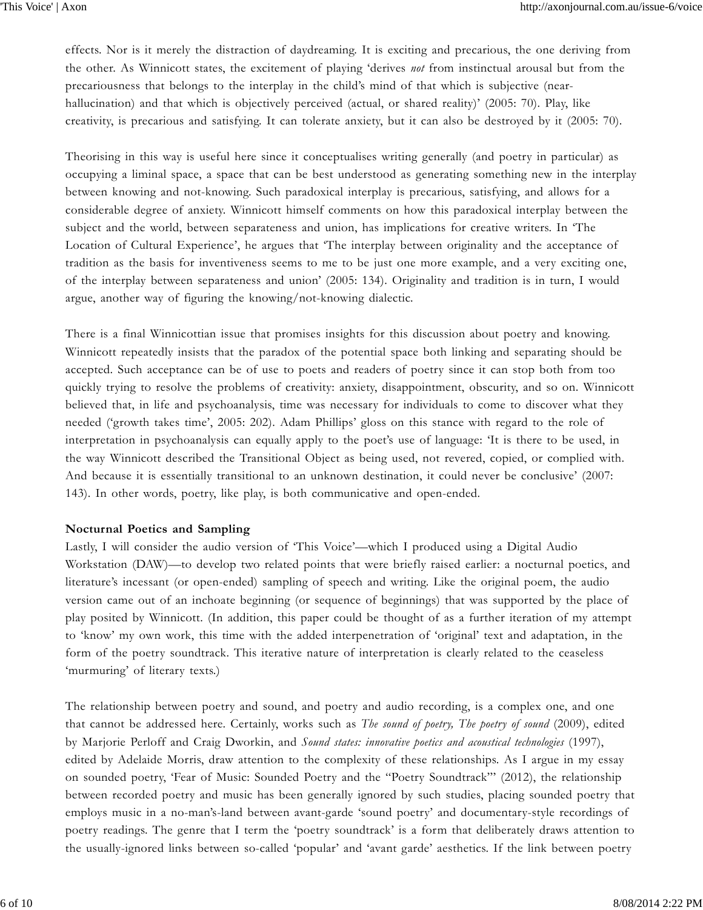effects. Nor is it merely the distraction of daydreaming. It is exciting and precarious, the one deriving from the other. As Winnicott states, the excitement of playing 'derives *not* from instinctual arousal but from the precariousness that belongs to the interplay in the child's mind of that which is subjective (nearhallucination) and that which is objectively perceived (actual, or shared reality)' (2005: 70). Play, like creativity, is precarious and satisfying. It can tolerate anxiety, but it can also be destroyed by it (2005: 70).

Theorising in this way is useful here since it conceptualises writing generally (and poetry in particular) as occupying a liminal space, a space that can be best understood as generating something new in the interplay between knowing and not-knowing. Such paradoxical interplay is precarious, satisfying, and allows for a considerable degree of anxiety. Winnicott himself comments on how this paradoxical interplay between the subject and the world, between separateness and union, has implications for creative writers. In 'The Location of Cultural Experience', he argues that 'The interplay between originality and the acceptance of tradition as the basis for inventiveness seems to me to be just one more example, and a very exciting one, of the interplay between separateness and union' (2005: 134). Originality and tradition is in turn, I would argue, another way of figuring the knowing/not-knowing dialectic.

There is a final Winnicottian issue that promises insights for this discussion about poetry and knowing. Winnicott repeatedly insists that the paradox of the potential space both linking and separating should be accepted. Such acceptance can be of use to poets and readers of poetry since it can stop both from too quickly trying to resolve the problems of creativity: anxiety, disappointment, obscurity, and so on. Winnicott believed that, in life and psychoanalysis, time was necessary for individuals to come to discover what they needed ('growth takes time', 2005: 202). Adam Phillips' gloss on this stance with regard to the role of interpretation in psychoanalysis can equally apply to the poet's use of language: 'It is there to be used, in the way Winnicott described the Transitional Object as being used, not revered, copied, or complied with. And because it is essentially transitional to an unknown destination, it could never be conclusive' (2007: 143). In other words, poetry, like play, is both communicative and open-ended.

#### **Nocturnal Poetics and Sampling**

Lastly, I will consider the audio version of 'This Voice'—which I produced using a Digital Audio Workstation (DAW)—to develop two related points that were briefly raised earlier: a nocturnal poetics, and literature's incessant (or open-ended) sampling of speech and writing. Like the original poem, the audio version came out of an inchoate beginning (or sequence of beginnings) that was supported by the place of play posited by Winnicott. (In addition, this paper could be thought of as a further iteration of my attempt to 'know' my own work, this time with the added interpenetration of 'original' text and adaptation, in the form of the poetry soundtrack. This iterative nature of interpretation is clearly related to the ceaseless 'murmuring' of literary texts.)

The relationship between poetry and sound, and poetry and audio recording, is a complex one, and one that cannot be addressed here. Certainly, works such as *The sound of poetry, The poetry of sound* (2009), edited by Marjorie Perloff and Craig Dworkin, and *Sound states: innovative poetics and acoustical technologies* (1997), edited by Adelaide Morris, draw attention to the complexity of these relationships. As I argue in my essay on sounded poetry, 'Fear of Music: Sounded Poetry and the "Poetry Soundtrack"' (2012), the relationship between recorded poetry and music has been generally ignored by such studies, placing sounded poetry that employs music in a no-man's-land between avant-garde 'sound poetry' and documentary-style recordings of poetry readings. The genre that I term the 'poetry soundtrack' is a form that deliberately draws attention to the usually-ignored links between so-called 'popular' and 'avant garde' aesthetics. If the link between poetry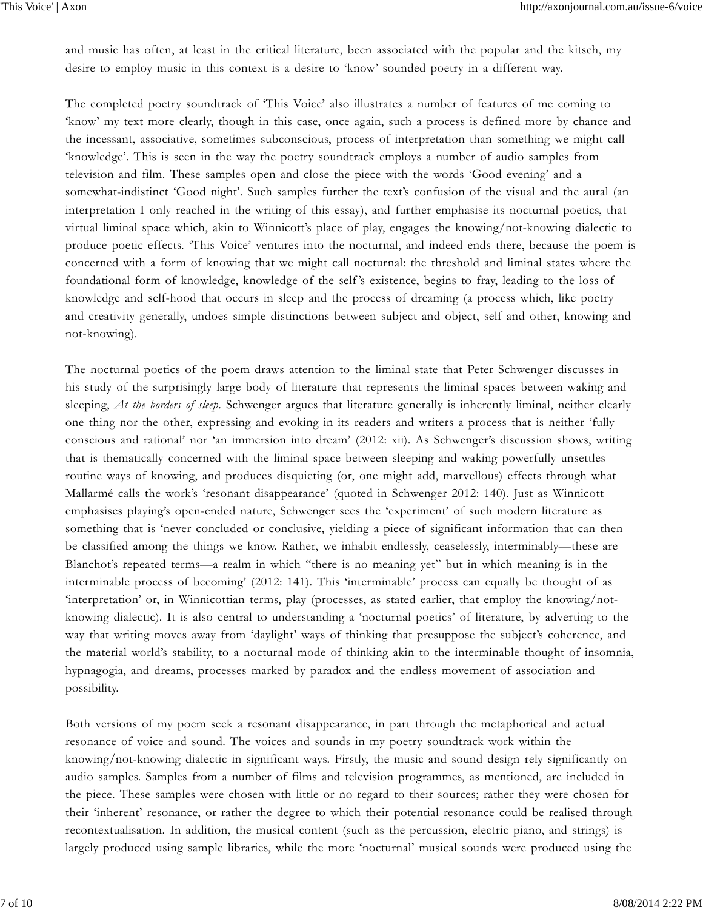and music has often, at least in the critical literature, been associated with the popular and the kitsch, my desire to employ music in this context is a desire to 'know' sounded poetry in a different way.

The completed poetry soundtrack of 'This Voice' also illustrates a number of features of me coming to 'know' my text more clearly, though in this case, once again, such a process is defined more by chance and the incessant, associative, sometimes subconscious, process of interpretation than something we might call 'knowledge'. This is seen in the way the poetry soundtrack employs a number of audio samples from television and film. These samples open and close the piece with the words 'Good evening' and a somewhat-indistinct 'Good night'. Such samples further the text's confusion of the visual and the aural (an interpretation I only reached in the writing of this essay), and further emphasise its nocturnal poetics, that virtual liminal space which, akin to Winnicott's place of play, engages the knowing/not-knowing dialectic to produce poetic effects. 'This Voice' ventures into the nocturnal, and indeed ends there, because the poem is concerned with a form of knowing that we might call nocturnal: the threshold and liminal states where the foundational form of knowledge, knowledge of the self's existence, begins to fray, leading to the loss of knowledge and self-hood that occurs in sleep and the process of dreaming (a process which, like poetry and creativity generally, undoes simple distinctions between subject and object, self and other, knowing and not-knowing).

The nocturnal poetics of the poem draws attention to the liminal state that Peter Schwenger discusses in his study of the surprisingly large body of literature that represents the liminal spaces between waking and sleeping, *At the borders of sleep*. Schwenger argues that literature generally is inherently liminal, neither clearly one thing nor the other, expressing and evoking in its readers and writers a process that is neither 'fully conscious and rational' nor 'an immersion into dream' (2012: xii). As Schwenger's discussion shows, writing that is thematically concerned with the liminal space between sleeping and waking powerfully unsettles routine ways of knowing, and produces disquieting (or, one might add, marvellous) effects through what Mallarmé calls the work's 'resonant disappearance' (quoted in Schwenger 2012: 140). Just as Winnicott emphasises playing's open-ended nature, Schwenger sees the 'experiment' of such modern literature as something that is 'never concluded or conclusive, yielding a piece of significant information that can then be classified among the things we know. Rather, we inhabit endlessly, ceaselessly, interminably—these are Blanchot's repeated terms—a realm in which "there is no meaning yet" but in which meaning is in the interminable process of becoming' (2012: 141). This 'interminable' process can equally be thought of as 'interpretation' or, in Winnicottian terms, play (processes, as stated earlier, that employ the knowing/notknowing dialectic). It is also central to understanding a 'nocturnal poetics' of literature, by adverting to the way that writing moves away from 'daylight' ways of thinking that presuppose the subject's coherence, and the material world's stability, to a nocturnal mode of thinking akin to the interminable thought of insomnia, hypnagogia, and dreams, processes marked by paradox and the endless movement of association and possibility.

Both versions of my poem seek a resonant disappearance, in part through the metaphorical and actual resonance of voice and sound. The voices and sounds in my poetry soundtrack work within the knowing/not-knowing dialectic in significant ways. Firstly, the music and sound design rely significantly on audio samples. Samples from a number of films and television programmes, as mentioned, are included in the piece. These samples were chosen with little or no regard to their sources; rather they were chosen for their 'inherent' resonance, or rather the degree to which their potential resonance could be realised through recontextualisation. In addition, the musical content (such as the percussion, electric piano, and strings) is largely produced using sample libraries, while the more 'nocturnal' musical sounds were produced using the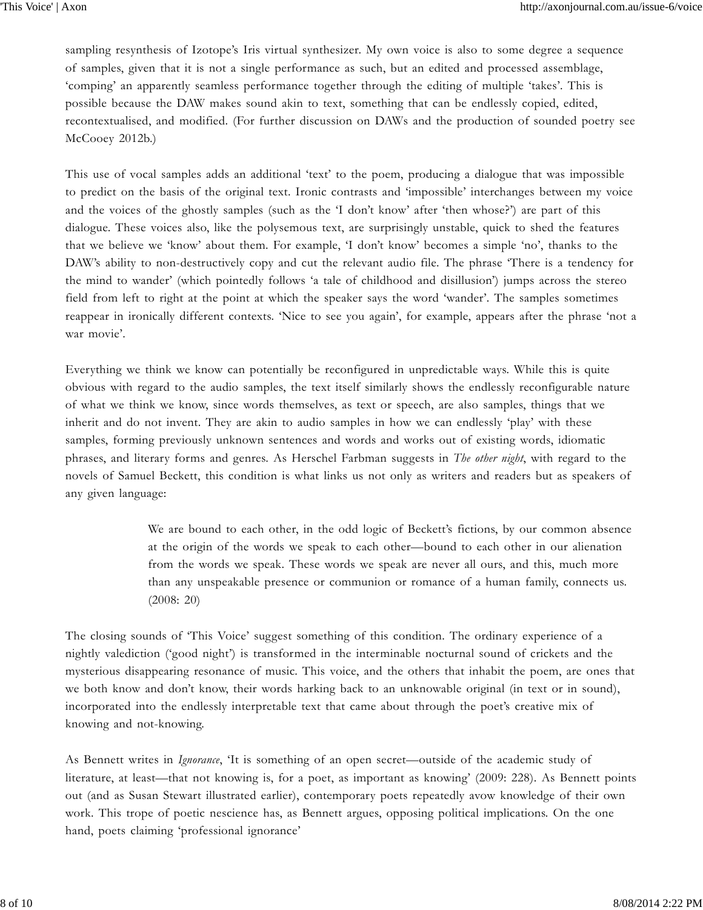sampling resynthesis of Izotope's Iris virtual synthesizer. My own voice is also to some degree a sequence of samples, given that it is not a single performance as such, but an edited and processed assemblage, 'comping' an apparently seamless performance together through the editing of multiple 'takes'. This is possible because the DAW makes sound akin to text, something that can be endlessly copied, edited, recontextualised, and modified. (For further discussion on DAWs and the production of sounded poetry see McCooey 2012b.)

This use of vocal samples adds an additional 'text' to the poem, producing a dialogue that was impossible to predict on the basis of the original text. Ironic contrasts and 'impossible' interchanges between my voice and the voices of the ghostly samples (such as the 'I don't know' after 'then whose?') are part of this dialogue. These voices also, like the polysemous text, are surprisingly unstable, quick to shed the features that we believe we 'know' about them. For example, 'I don't know' becomes a simple 'no', thanks to the DAW's ability to non-destructively copy and cut the relevant audio file. The phrase 'There is a tendency for the mind to wander' (which pointedly follows 'a tale of childhood and disillusion') jumps across the stereo field from left to right at the point at which the speaker says the word 'wander'. The samples sometimes reappear in ironically different contexts. 'Nice to see you again', for example, appears after the phrase 'not a war movie'.

Everything we think we know can potentially be reconfigured in unpredictable ways. While this is quite obvious with regard to the audio samples, the text itself similarly shows the endlessly reconfigurable nature of what we think we know, since words themselves, as text or speech, are also samples, things that we inherit and do not invent. They are akin to audio samples in how we can endlessly 'play' with these samples, forming previously unknown sentences and words and works out of existing words, idiomatic phrases, and literary forms and genres. As Herschel Farbman suggests in *The other night*, with regard to the novels of Samuel Beckett, this condition is what links us not only as writers and readers but as speakers of any given language:

> We are bound to each other, in the odd logic of Beckett's fictions, by our common absence at the origin of the words we speak to each other—bound to each other in our alienation from the words we speak. These words we speak are never all ours, and this, much more than any unspeakable presence or communion or romance of a human family, connects us. (2008: 20)

The closing sounds of 'This Voice' suggest something of this condition. The ordinary experience of a nightly valediction ('good night') is transformed in the interminable nocturnal sound of crickets and the mysterious disappearing resonance of music. This voice, and the others that inhabit the poem, are ones that we both know and don't know, their words harking back to an unknowable original (in text or in sound), incorporated into the endlessly interpretable text that came about through the poet's creative mix of knowing and not-knowing.

As Bennett writes in *Ignorance*, 'It is something of an open secret—outside of the academic study of literature, at least—that not knowing is, for a poet, as important as knowing' (2009: 228). As Bennett points out (and as Susan Stewart illustrated earlier), contemporary poets repeatedly avow knowledge of their own work. This trope of poetic nescience has, as Bennett argues, opposing political implications. On the one hand, poets claiming 'professional ignorance'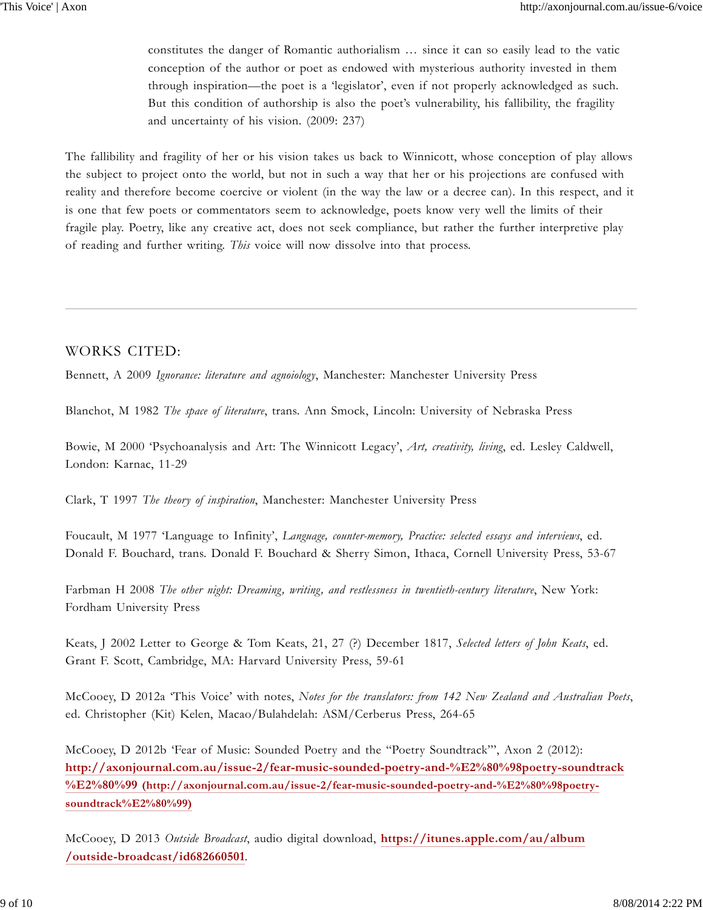constitutes the danger of Romantic authorialism … since it can so easily lead to the vatic conception of the author or poet as endowed with mysterious authority invested in them through inspiration—the poet is a 'legislator', even if not properly acknowledged as such. But this condition of authorship is also the poet's vulnerability, his fallibility, the fragility and uncertainty of his vision. (2009: 237)

The fallibility and fragility of her or his vision takes us back to Winnicott, whose conception of play allows the subject to project onto the world, but not in such a way that her or his projections are confused with reality and therefore become coercive or violent (in the way the law or a decree can). In this respect, and it is one that few poets or commentators seem to acknowledge, poets know very well the limits of their fragile play. Poetry, like any creative act, does not seek compliance, but rather the further interpretive play of reading and further writing. *This* voice will now dissolve into that process.

### WORKS CITED:

Bennett, A 2009 *Ignorance: literature and agnoiology*, Manchester: Manchester University Press

Blanchot, M 1982 *The space of literature*, trans. Ann Smock, Lincoln: University of Nebraska Press

Bowie, M 2000 'Psychoanalysis and Art: The Winnicott Legacy', *Art, creativity, living*, ed. Lesley Caldwell, London: Karnac, 11-29

Clark, T 1997 *The theory of inspiration*, Manchester: Manchester University Press

Foucault, M 1977 'Language to Infinity', *Language, counter-memory, Practice: selected essays and interviews*, ed. Donald F. Bouchard, trans. Donald F. Bouchard & Sherry Simon, Ithaca, Cornell University Press, 53-67

Farbman H 2008 *The other night: Dreaming, writing, and restlessness in twentieth-century literature*, New York: Fordham University Press

Keats, J 2002 Letter to George & Tom Keats, 21, 27 (?) December 1817, *Selected letters of John Keats*, ed. Grant F. Scott, Cambridge, MA: Harvard University Press, 59-61

McCooey, D 2012a 'This Voice' with notes, *Notes for the translators: from 142 New Zealand and Australian Poets*, ed. Christopher (Kit) Kelen, Macao/Bulahdelah: ASM/Cerberus Press, 264-65

McCooey, D 2012b 'Fear of Music: Sounded Poetry and the "Poetry Soundtrack"', Axon 2 (2012): **http://axonjournal.com.au/issue-2/fear-music-sounded-poetry-and-%E2%80%98poetry-soundtrack %E2%80%99 (http://axonjournal.com.au/issue-2/fear-music-sounded-poetry-and-%E2%80%98poetrysoundtrack%E2%80%99)**

McCooey, D 2013 *Outside Broadcast*, audio digital download, **https://itunes.apple.com/au/album /outside-broadcast/id682660501**.